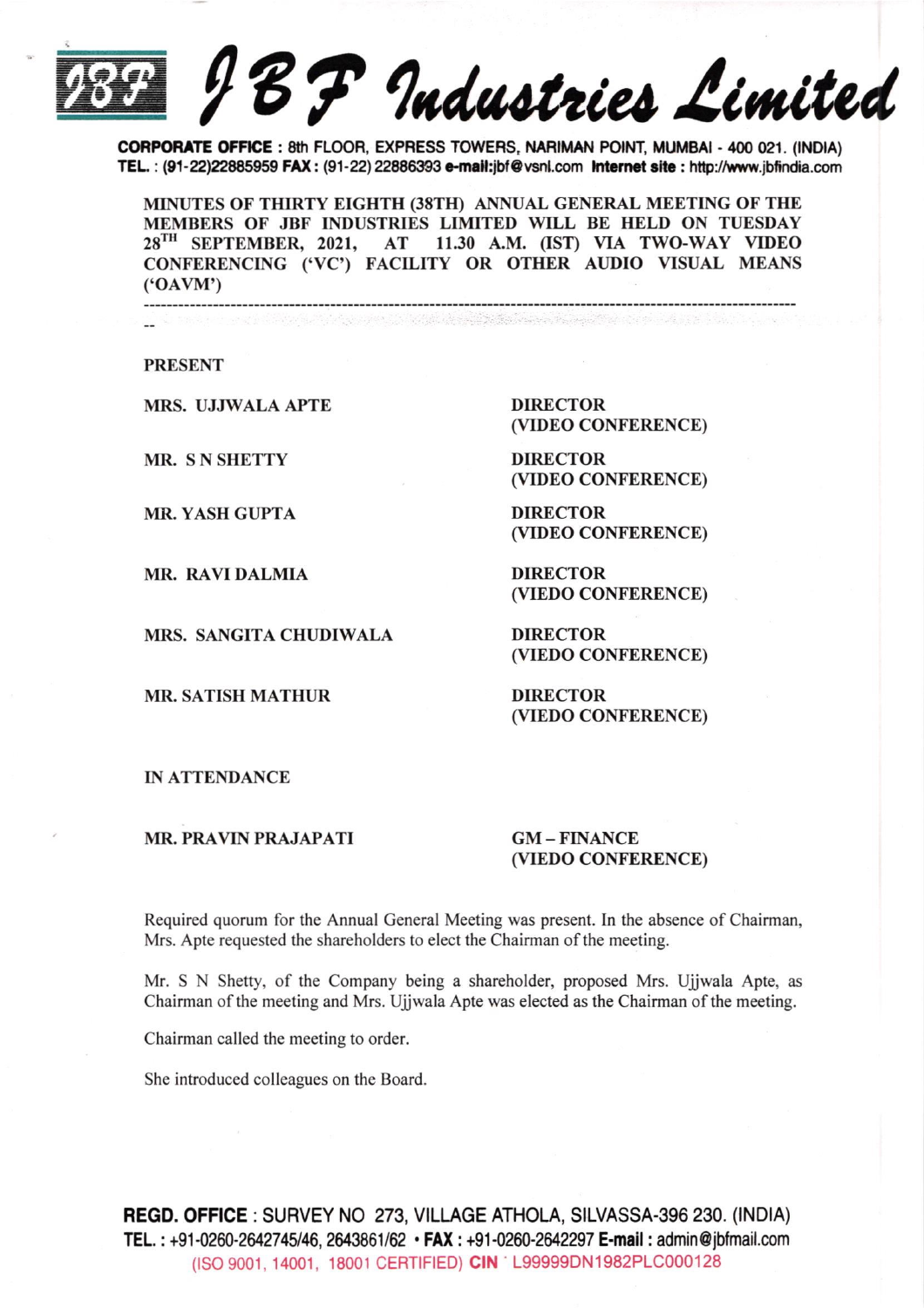BF Industries Limited

CORPORATE OFFICE: 8th FLOOR, EXPRESS TOWERS, NARIMAN POINT, MUMBAI - 400 021. (INDIA) TEL.: (91-22)22885959 FAX: (91-22) 22886393 e-mail: jbf@vsnl.com Internet site: http://www.jbfindia.com

MINUTES OF THIRTY EIGHTH (38TH) ANNUAL GENERAL MEETING OF THE MEMBERS OF JBF INDUSTRIES LIMITED WILL BE HELD ON TUESDAY 28<sup>TH</sup> SEPTEMBER, 2021, AT 11.30 A.M. (IST) VIA TWO-WAY VIDEO CONFERENCING ('VC') FACILITY OR OTHER AUDIO VISUAL MEANS  $(^{\circ}OAVM^{\circ})$ 

**PRESENT** 

**MRS. UJJWALA APTE** 

MR. SN SHETTY

**MR. YASH GUPTA** 

**MR. RAVI DALMIA** 

MRS. SANGITA CHUDIWALA

**MR. SATISH MATHUR** 

**DIRECTOR** (VIDEO CONFERENCE)

**DIRECTOR** (VIDEO CONFERENCE)

**DIRECTOR** (VIDEO CONFERENCE)

**DIRECTOR** (VIEDO CONFERENCE)

**DIRECTOR** (VIEDO CONFERENCE)

**DIRECTOR** (VIEDO CONFERENCE)

**IN ATTENDANCE** 

**MR. PRAVIN PRAJAPATI** 

 $GM - FINANCE$ (VIEDO CONFERENCE)

Required quorum for the Annual General Meeting was present. In the absence of Chairman, Mrs. Apte requested the shareholders to elect the Chairman of the meeting.

Mr. S N Shetty, of the Company being a shareholder, proposed Mrs. Ujjwala Apte, as Chairman of the meeting and Mrs. Ujjwala Apte was elected as the Chairman of the meeting.

Chairman called the meeting to order.

She introduced colleagues on the Board.

**REGD. OFFICE: SURVEY NO 273, VILLAGE ATHOLA, SILVASSA-396 230. (INDIA)** TEL.: +91-0260-2642745/46, 2643861/62 • FAX: +91-0260-2642297 E-mail: admin@jbfmail.com (ISO 9001, 14001, 18001 CERTIFIED) CIN : L99999DN1982PLC000128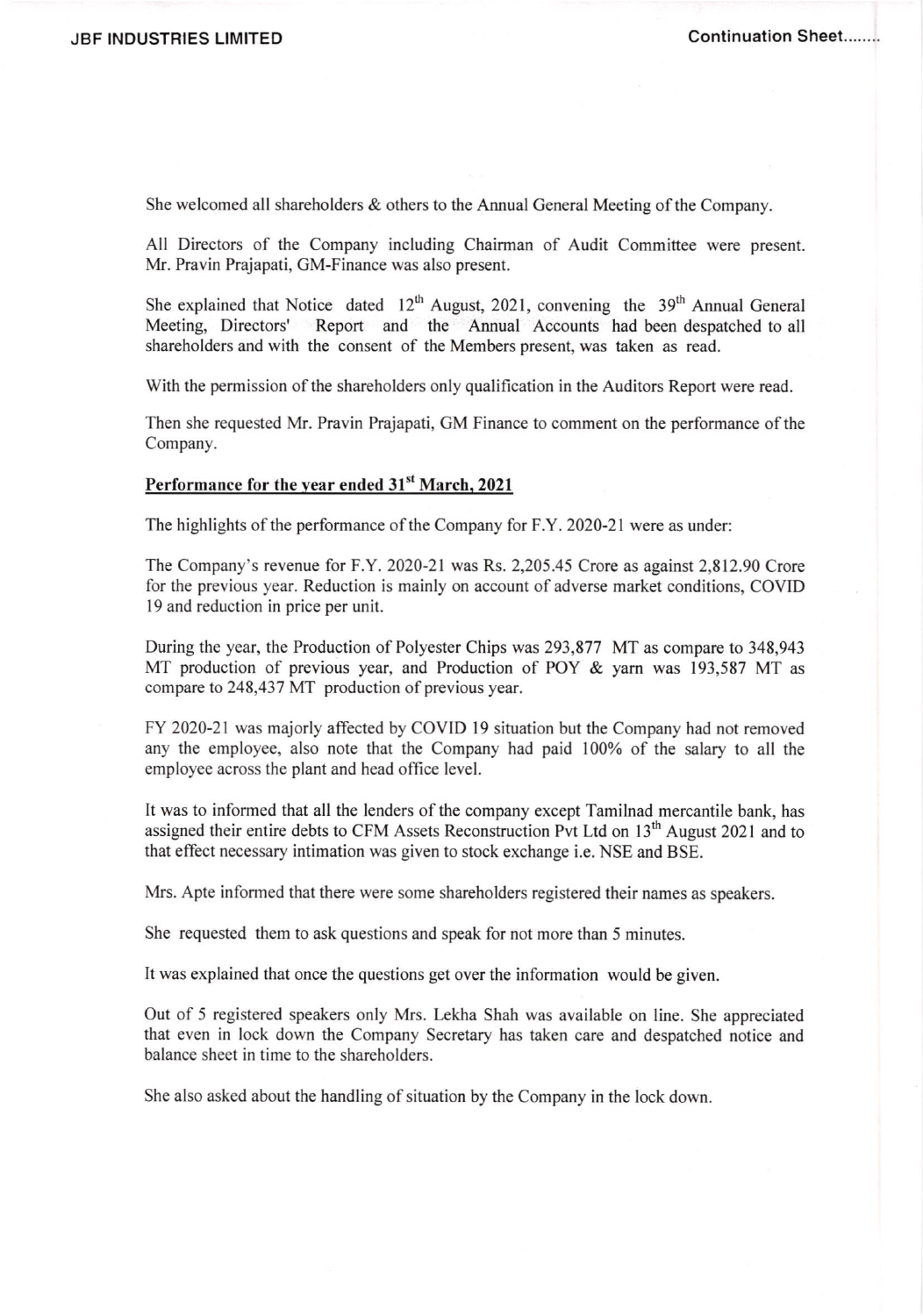She welcomed all shareholders  $\&$  others to the Annual General Meeting of the Company.

All Directors of the Company including Chairman of Audit Committee were present. Mr. Pravin Prajapati, GM-Finance was also present.

She explained that Notice dated  $12<sup>th</sup>$  August, 2021, convening the 39<sup>th</sup> Annual General Meeting, Directors' Report and the Annual Accounts had been despatched to all shareholders and with the consent of the Members present, was taken as read.

With the permission of the shareholders only qualification in the Auditors Report were read.

Then she requested Mr. Pravin Prajapati, GM Finance to comment on the performance ofthe Company.

### Performance for the year ended 31<sup>st</sup> March, 2021

The highlights of the performance of the Company for F.Y. 2020-21 were as under:

The Company's revenue for F.Y.2020-21 was Rs. 2,205.45 Crore as against 2,812.90 Crore for the previous year. Reduction is mainly on account of adverse market conditions, COVID l9 and reduction in price per unit.

During the year, the Production of Polyester Chips was 293,877 MT as compare to 348,943 MT production of previous year, and Production of POY & yam was 193,587 MT as compare to 248,437 MT production of previous year.

FY 2020-21 was majorly affected by COVID l9 situation but the Company had not removed any the employee, also note that the Company had paid 100% of the salary to all the employee across the plant and head office level.

It was to informed that all the lenders of the company except Tamilnad mercantile bank, has assigned their entire debts to CFM Assets Reconstruction Pvt Ltd on  $13<sup>th</sup>$  August 2021 and to that effect necessary intimation was given to stock exchange i.e. NSE and BSE.

Mrs. Apte informed that there were some shareholders registered their names as speakers.

She requested them to ask questions and speak for not more than 5 minutes.

It was explained that once the questions get over the information would be given.

Out of 5 registered speakers only Mrs. Lekha Shah was available on line. She appreciated that even in lock down the Company Secretary has taken care and despatched notice and balance sheet in time to the shareholders.

She also asked about the handling of situation by the Company in the lock down.